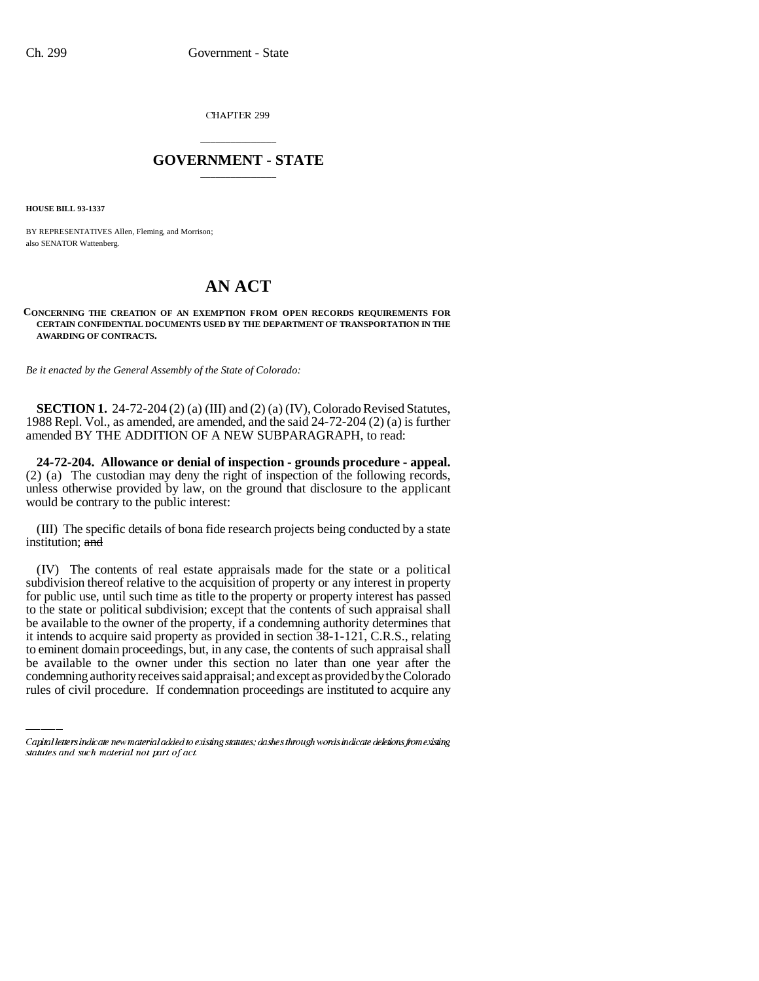CHAPTER 299

## \_\_\_\_\_\_\_\_\_\_\_\_\_\_\_ **GOVERNMENT - STATE** \_\_\_\_\_\_\_\_\_\_\_\_\_\_\_

**HOUSE BILL 93-1337**

BY REPRESENTATIVES Allen, Fleming, and Morrison; also SENATOR Wattenberg.

## **AN ACT**

## **CONCERNING THE CREATION OF AN EXEMPTION FROM OPEN RECORDS REQUIREMENTS FOR CERTAIN CONFIDENTIAL DOCUMENTS USED BY THE DEPARTMENT OF TRANSPORTATION IN THE AWARDING OF CONTRACTS.**

*Be it enacted by the General Assembly of the State of Colorado:*

**SECTION 1.** 24-72-204 (2) (a) (III) and (2) (a) (IV), Colorado Revised Statutes, 1988 Repl. Vol., as amended, are amended, and the said 24-72-204 (2) (a) is further amended BY THE ADDITION OF A NEW SUBPARAGRAPH, to read:

**24-72-204. Allowance or denial of inspection - grounds procedure - appeal.** (2) (a) The custodian may deny the right of inspection of the following records, unless otherwise provided by law, on the ground that disclosure to the applicant would be contrary to the public interest:

(III) The specific details of bona fide research projects being conducted by a state institution; and

it intends to acquire said property as provided in section 38-1-121, C.R.S., relating (IV) The contents of real estate appraisals made for the state or a political subdivision thereof relative to the acquisition of property or any interest in property for public use, until such time as title to the property or property interest has passed to the state or political subdivision; except that the contents of such appraisal shall be available to the owner of the property, if a condemning authority determines that to eminent domain proceedings, but, in any case, the contents of such appraisal shall be available to the owner under this section no later than one year after the condemning authority receives said appraisal; and except as provided by the Colorado rules of civil procedure. If condemnation proceedings are instituted to acquire any

Capital letters indicate new material added to existing statutes; dashes through words indicate deletions from existing statutes and such material not part of act.